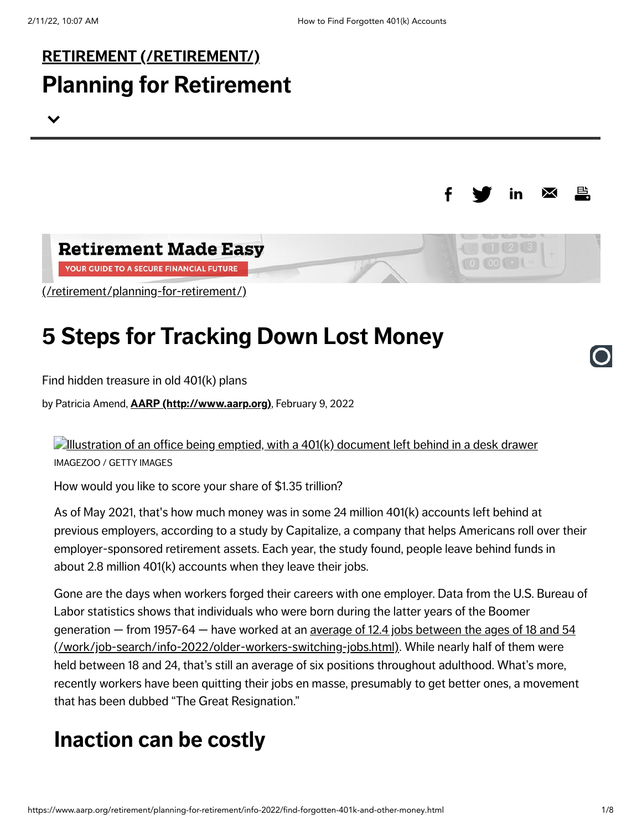✔

### [RETIREMENT \(/RETIREMENT/\)](https://www.aarp.org/retirement/)

# Planning for Retirement



#### [\(/retirement/planning-for-retirement/\)](https://www.aarp.org/retirement/planning-for-retirement/)

# 5 Steps for Tracking Down Lost Money

Find hidden treasure in old 401(k) plans

by Patricia Amend, **AARP [\(http://www.aarp.org\)](http://www.aarp.org/)**, February 9, 2022

**Illustration of an office being emptied, with a 401(k) document left behind in a desk drawer** IMAGEZOO / GETTY IMAGES

How would you like to score your share of \$1.35 trillion?

As of May 2021, that's how much money was in some 24 million 401(k) accounts left behind at previous employers, according to a study by Capitalize, a company that helps Americans roll over their employer-sponsored retirement assets. Each year, the study found, people leave behind funds in about 2.8 million 401(k) accounts when they leave their jobs.

Gone are the days when workers forged their careers with one employer. Data from the U.S. Bureau of Labor statistics shows that individuals who were born during the latter years of the Boomer generation  $-$  from 1957-64  $-$  have worked at an <u>average of 12.4 jobs between the ages of 18 and 54</u> [\(/work/job-search/info-2022/older-workers-switching-jobs.html\).](https://www.aarp.org/work/job-search/info-2022/older-workers-switching-jobs.html) While nearly half of them were held between 18 and 24, that's still an average of six positions throughout adulthood. What's more, recently workers have been quitting their jobs en masse, presumably to get better ones, a movement that has been dubbed "The Great Resignation."

### Inaction can be costly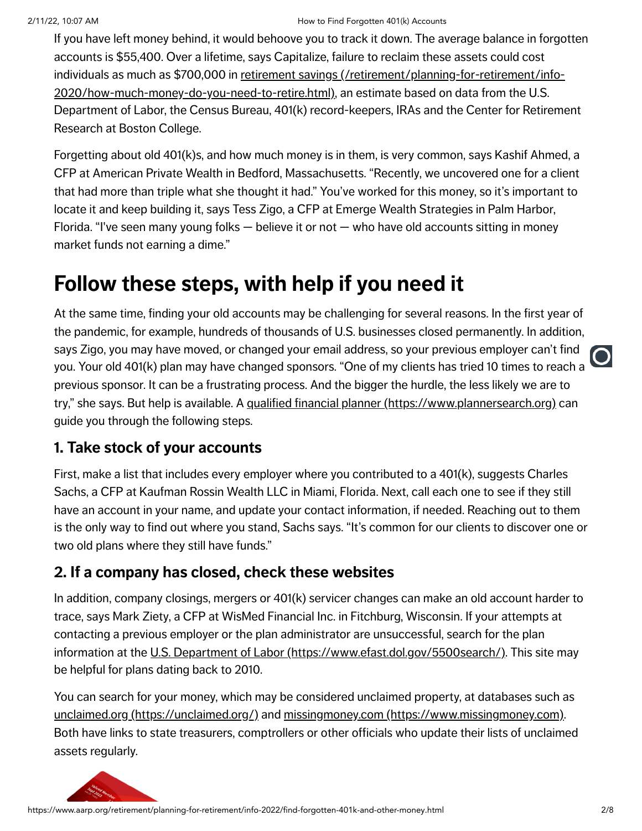#### 2/11/22, 10:07 AM How to Find Forgotten 401(k) Accounts

If you have left money behind, it would behoove you to track it down. The average balance in forgotten accounts is \$55,400. Over a lifetime, says Capitalize, failure to reclaim these assets could cost individuals as much as \$700,000 in retirement savings (/retirement/planning-for-retirement/info-[2020/how-much-money-do-you-need-to-retire.html\),](https://www.aarp.org/retirement/planning-for-retirement/info-2020/how-much-money-do-you-need-to-retire.html) an estimate based on data from the U.S. Department of Labor, the Census Bureau, 401(k) record-keepers, IRAs and the Center for Retirement Research at Boston College.

Forgetting about old 401(k)s, and how much money is in them, is very common, says Kashif Ahmed, a CFP at American Private Wealth in Bedford, Massachusetts. "Recently, we uncovered one for a client that had more than triple what she thought it had." You've worked for this money, so it's important to locate it and keep building it, says Tess Zigo, a CFP at Emerge Wealth Strategies in Palm Harbor, Florida. "I've seen many young folks  $-$  believe it or not  $-$  who have old accounts sitting in money market funds not earning a dime."

### Follow these steps, with help if you need it

At the same time, finding your old accounts may be challenging for several reasons. In the first year of the pandemic, for example, hundreds of thousands of U.S. businesses closed permanently. In addition, says Zigo, you may have moved, or changed your email address, so your previous employer can't find you. Your old 401(k) plan may have changed sponsors. "One of my clients has tried 10 times to reach a previous sponsor. It can be a frustrating process. And the bigger the hurdle, the less likely we are to try," she says. But help is available. A qualified financial planner [\(https://www.plannersearch.org\)](https://www.plannersearch.org/) can guide you through the following steps.

### 1. Take stock of your accounts

First, make a list that includes every employer where you contributed to a 401(k), suggests Charles Sachs, a CFP at Kaufman Rossin Wealth LLC in Miami, Florida. Next, call each one to see if they still have an account in your name, and update your contact information, if needed. Reaching out to them is the only way to find out where you stand, Sachs says. "It's common for our clients to discover one or two old plans where they still have funds."

### 2. If a company has closed, check these websites

In addition, company closings, mergers or 401(k) servicer changes can make an old account harder to trace, says Mark Ziety, a CFP at WisMed Financial Inc. in Fitchburg, Wisconsin. If your attempts at contacting a previous employer or the plan administrator are unsuccessful, search for the plan information at the U.S. Department of Labor [\(https://www.efast.dol.gov/5500search/\)](https://www.efast.dol.gov/5500search/). This site may be helpful for plans dating back to 2010.

You can search for your money, which may be considered unclaimed property, at databases such as unclaimed.org [\(https://unclaimed.org/\)](https://unclaimed.org/) and missingmoney.com [\(https://www.missingmoney.com\).](https://www.missingmoney.com/) Both have links to state treasurers, comptrollers or other officials who update their lists of unclaimed assets regularly.

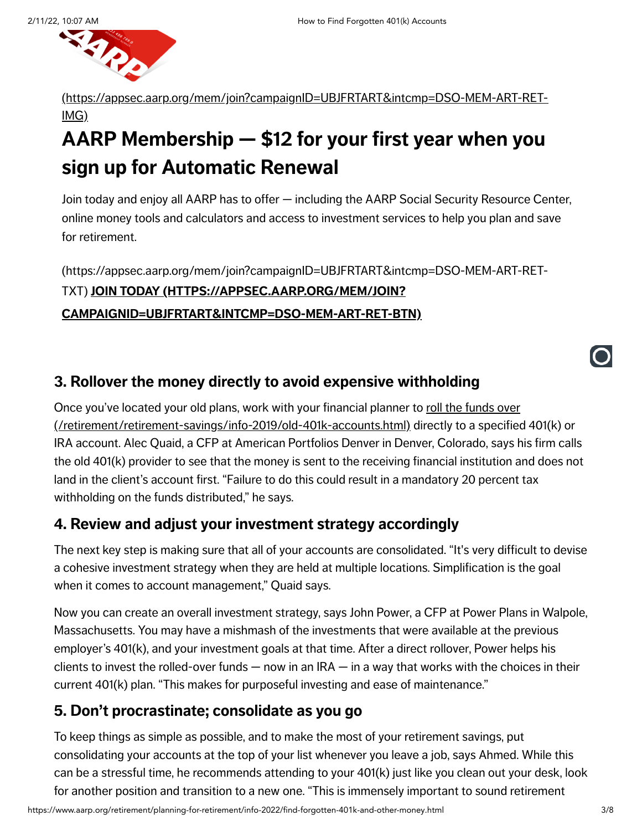

[\(https://appsec.aarp.org/mem/join?campaignID=UBJFRTART&intcmp=DSO-MEM-ART-RET-](https://appsec.aarp.org/mem/join?campaignID=UBJFRTART&intcmp=DSO-MEM-ART-RET-IMG)IMG)

## AARP Membership — \$12 for your first year when you sign up for Automatic Renewal

Join today and enjoy all AARP has to offer — including the AARP Social Security Resource Center, online money tools and calculators and access to investment services to help you plan and save for retirement.

[\(https://appsec.aarp.org/mem/join?campaignID=UBJFRTART&intcmp=DSO-MEM-ART-RET-](https://appsec.aarp.org/mem/join?campaignID=UBJFRTART&intcmp=DSO-MEM-ART-RET-TXT)TXT) JOIN TODAY (HTTPS://APPSEC.AARP.ORG/MEM/JOIN? [CAMPAIGNID=UBJFRTART&INTCMP=DSO-MEM-ART-RET-BTN\)](https://appsec.aarp.org/mem/join?campaignID=UBJFRTART&intcmp=DSO-MEM-ART-RET-BTN)

#### 3. Rollover the money directly to avoid expensive withholding

Once you've located your old plans, work with your financial planner to roll the funds over [\(/retirement/retirement-savings/info-2019/old-401k-accounts.html\)](https://www.aarp.org/retirement/retirement-savings/info-2019/old-401k-accounts.html) directly to a specified 401(k) or IRA account. Alec Quaid, a CFP at American Portfolios Denver in Denver, Colorado, says his firm calls the old 401(k) provider to see that the money is sent to the receiving financial institution and does not land in the client's account first. "Failure to do this could result in a mandatory 20 percent tax withholding on the funds distributed," he says.

### 4. Review and adjust your investment strategy accordingly

The next key step is making sure that all of your accounts are consolidated. "It's very difficult to devise a cohesive investment strategy when they are held at multiple locations. Simplification is the goal when it comes to account management," Quaid says.

Now you can create an overall investment strategy, says John Power, a CFP at Power Plans in Walpole, Massachusetts. You may have a mishmash of the investments that were available at the previous employer's 401(k), and your investment goals at that time. After a direct rollover, Power helps his clients to invest the rolled-over funds  $-$  now in an IRA  $-$  in a way that works with the choices in their current 401(k) plan. "This makes for purposeful investing and ease of maintenance."

#### 5. Don't procrastinate; consolidate as you go

To keep things as simple as possible, and to make the most of your retirement savings, put consolidating your accounts at the top of your list whenever you leave a job, says Ahmed. While this can be a stressful time, he recommends attending to your 401(k) just like you clean out your desk, look for another position and transition to a new one. "This is immensely important to sound retirement